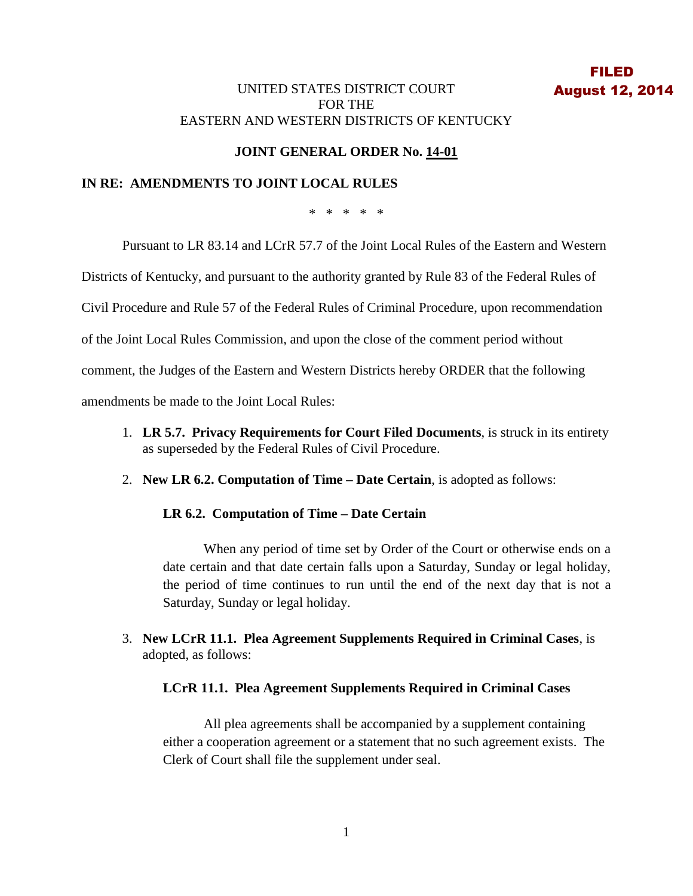## UNITED STATES DISTRICT COURT FOR THE EASTERN AND WESTERN DISTRICTS OF KENTUCKY

# **JOINT GENERAL ORDER No. 14-01**

## **IN RE: AMENDMENTS TO JOINT LOCAL RULES**

\* \* \* \* \*

Pursuant to LR 83.14 and LCrR 57.7 of the Joint Local Rules of the Eastern and Western

Districts of Kentucky, and pursuant to the authority granted by Rule 83 of the Federal Rules of

Civil Procedure and Rule 57 of the Federal Rules of Criminal Procedure, upon recommendation

of the Joint Local Rules Commission, and upon the close of the comment period without

comment, the Judges of the Eastern and Western Districts hereby ORDER that the following

amendments be made to the Joint Local Rules:

- 1. **LR 5.7. Privacy Requirements for Court Filed Documents**, is struck in its entirety as superseded by the Federal Rules of Civil Procedure.
- 2. **New LR 6.2. Computation of Time – Date Certain**, is adopted as follows:

#### **LR 6.2. Computation of Time – Date Certain**

When any period of time set by Order of the Court or otherwise ends on a date certain and that date certain falls upon a Saturday, Sunday or legal holiday, the period of time continues to run until the end of the next day that is not a Saturday, Sunday or legal holiday.

3. **New LCrR 11.1. Plea Agreement Supplements Required in Criminal Cases**, is adopted, as follows:

#### **LCrR 11.1. Plea Agreement Supplements Required in Criminal Cases**

All plea agreements shall be accompanied by a supplement containing either a cooperation agreement or a statement that no such agreement exists. The Clerk of Court shall file the supplement under seal.